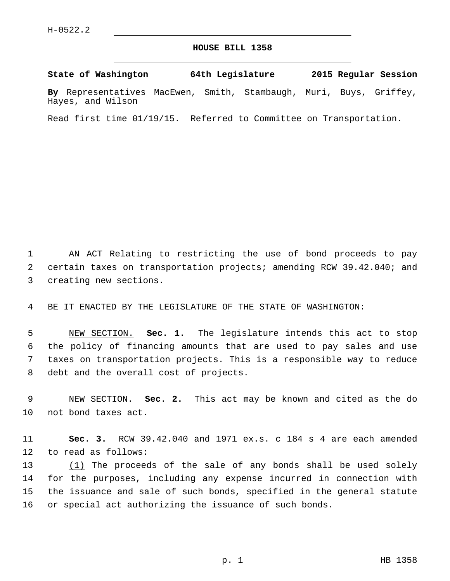## **HOUSE BILL 1358**

**State of Washington 64th Legislature 2015 Regular Session By** Representatives MacEwen, Smith, Stambaugh, Muri, Buys, Griffey, Hayes, and Wilson

Read first time 01/19/15. Referred to Committee on Transportation.

1 AN ACT Relating to restricting the use of bond proceeds to pay 2 certain taxes on transportation projects; amending RCW 39.42.040; and 3 creating new sections.

4 BE IT ENACTED BY THE LEGISLATURE OF THE STATE OF WASHINGTON:

 NEW SECTION. **Sec. 1.** The legislature intends this act to stop the policy of financing amounts that are used to pay sales and use taxes on transportation projects. This is a responsible way to reduce debt and the overall cost of projects.

9 NEW SECTION. **Sec. 2.** This act may be known and cited as the do 10 not bond taxes act.

11 **Sec. 3.** RCW 39.42.040 and 1971 ex.s. c 184 s 4 are each amended 12 to read as follows:

13 (1) The proceeds of the sale of any bonds shall be used solely for the purposes, including any expense incurred in connection with the issuance and sale of such bonds, specified in the general statute or special act authorizing the issuance of such bonds.